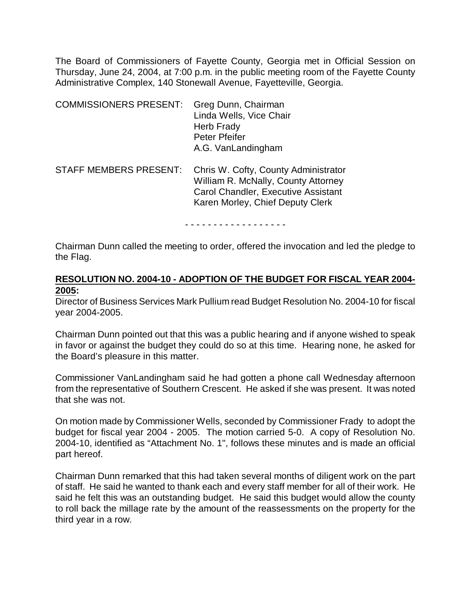The Board of Commissioners of Fayette County, Georgia met in Official Session on Thursday, June 24, 2004, at 7:00 p.m. in the public meeting room of the Fayette County Administrative Complex, 140 Stonewall Avenue, Fayetteville, Georgia.

| <b>COMMISSIONERS PRESENT:</b> | Greg Dunn, Chairman<br>Linda Wells, Vice Chair<br><b>Herb Frady</b><br><b>Peter Pfeifer</b><br>A.G. VanLandingham                                      |
|-------------------------------|--------------------------------------------------------------------------------------------------------------------------------------------------------|
| <b>STAFF MEMBERS PRESENT:</b> | Chris W. Cofty, County Administrator<br>William R. McNally, County Attorney<br>Carol Chandler, Executive Assistant<br>Karen Morley, Chief Deputy Clerk |

- - - - - - - - - - - - - - - - - -

Chairman Dunn called the meeting to order, offered the invocation and led the pledge to the Flag.

### **RESOLUTION NO. 2004-10 - ADOPTION OF THE BUDGET FOR FISCAL YEAR 2004- 2005:**

Director of Business Services Mark Pullium read Budget Resolution No. 2004-10 for fiscal year 2004-2005.

Chairman Dunn pointed out that this was a public hearing and if anyone wished to speak in favor or against the budget they could do so at this time. Hearing none, he asked for the Board's pleasure in this matter.

Commissioner VanLandingham said he had gotten a phone call Wednesday afternoon from the representative of Southern Crescent. He asked if she was present. It was noted that she was not.

On motion made by Commissioner Wells, seconded by Commissioner Frady to adopt the budget for fiscal year 2004 - 2005. The motion carried 5-0. A copy of Resolution No. 2004-10, identified as "Attachment No. 1", follows these minutes and is made an official part hereof.

Chairman Dunn remarked that this had taken several months of diligent work on the part of staff. He said he wanted to thank each and every staff member for all of their work. He said he felt this was an outstanding budget. He said this budget would allow the county to roll back the millage rate by the amount of the reassessments on the property for the third year in a row.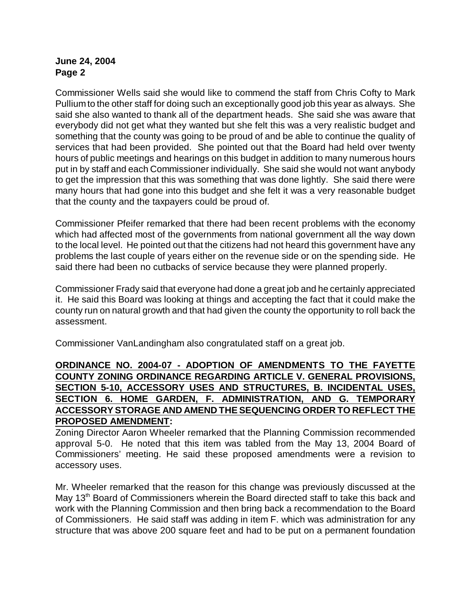Commissioner Wells said she would like to commend the staff from Chris Cofty to Mark Pullium to the other staff for doing such an exceptionally good job this year as always. She said she also wanted to thank all of the department heads. She said she was aware that everybody did not get what they wanted but she felt this was a very realistic budget and something that the county was going to be proud of and be able to continue the quality of services that had been provided. She pointed out that the Board had held over twenty hours of public meetings and hearings on this budget in addition to many numerous hours put in by staff and each Commissioner individually. She said she would not want anybody to get the impression that this was something that was done lightly. She said there were many hours that had gone into this budget and she felt it was a very reasonable budget that the county and the taxpayers could be proud of.

Commissioner Pfeifer remarked that there had been recent problems with the economy which had affected most of the governments from national government all the way down to the local level. He pointed out that the citizens had not heard this government have any problems the last couple of years either on the revenue side or on the spending side. He said there had been no cutbacks of service because they were planned properly.

Commissioner Frady said that everyone had done a great job and he certainly appreciated it. He said this Board was looking at things and accepting the fact that it could make the county run on natural growth and that had given the county the opportunity to roll back the assessment.

Commissioner VanLandingham also congratulated staff on a great job.

## **ORDINANCE NO. 2004-07 - ADOPTION OF AMENDMENTS TO THE FAYETTE COUNTY ZONING ORDINANCE REGARDING ARTICLE V. GENERAL PROVISIONS, SECTION 5-10, ACCESSORY USES AND STRUCTURES, B. INCIDENTAL USES, SECTION 6. HOME GARDEN, F. ADMINISTRATION, AND G. TEMPORARY ACCESSORY STORAGE AND AMEND THE SEQUENCING ORDER TO REFLECT THE PROPOSED AMENDMENT:**

Zoning Director Aaron Wheeler remarked that the Planning Commission recommended approval 5-0. He noted that this item was tabled from the May 13, 2004 Board of Commissioners' meeting. He said these proposed amendments were a revision to accessory uses.

Mr. Wheeler remarked that the reason for this change was previously discussed at the May 13<sup>th</sup> Board of Commissioners wherein the Board directed staff to take this back and work with the Planning Commission and then bring back a recommendation to the Board of Commissioners. He said staff was adding in item F. which was administration for any structure that was above 200 square feet and had to be put on a permanent foundation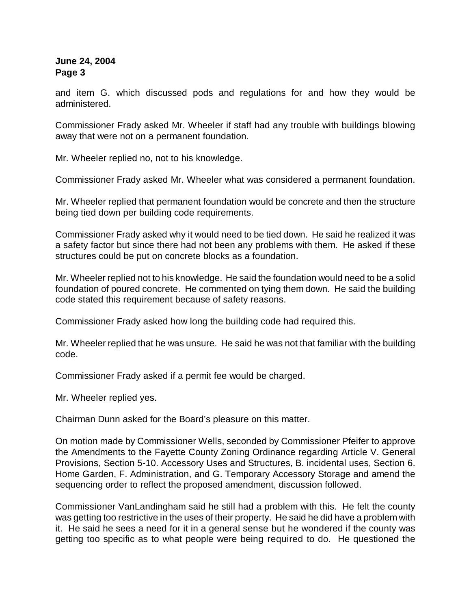and item G. which discussed pods and regulations for and how they would be administered.

Commissioner Frady asked Mr. Wheeler if staff had any trouble with buildings blowing away that were not on a permanent foundation.

Mr. Wheeler replied no, not to his knowledge.

Commissioner Frady asked Mr. Wheeler what was considered a permanent foundation.

Mr. Wheeler replied that permanent foundation would be concrete and then the structure being tied down per building code requirements.

Commissioner Frady asked why it would need to be tied down. He said he realized it was a safety factor but since there had not been any problems with them. He asked if these structures could be put on concrete blocks as a foundation.

Mr. Wheeler replied not to his knowledge. He said the foundation would need to be a solid foundation of poured concrete. He commented on tying them down. He said the building code stated this requirement because of safety reasons.

Commissioner Frady asked how long the building code had required this.

Mr. Wheeler replied that he was unsure. He said he was not that familiar with the building code.

Commissioner Frady asked if a permit fee would be charged.

Mr. Wheeler replied yes.

Chairman Dunn asked for the Board's pleasure on this matter.

On motion made by Commissioner Wells, seconded by Commissioner Pfeifer to approve the Amendments to the Fayette County Zoning Ordinance regarding Article V. General Provisions, Section 5-10. Accessory Uses and Structures, B. incidental uses, Section 6. Home Garden, F. Administration, and G. Temporary Accessory Storage and amend the sequencing order to reflect the proposed amendment, discussion followed.

Commissioner VanLandingham said he still had a problem with this. He felt the county was getting too restrictive in the uses of their property. He said he did have a problem with it. He said he sees a need for it in a general sense but he wondered if the county was getting too specific as to what people were being required to do. He questioned the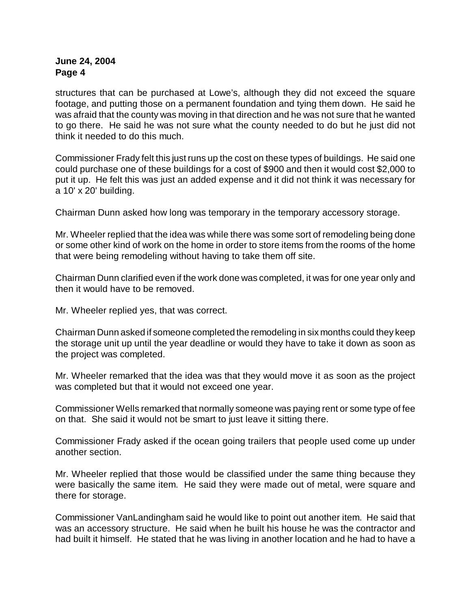structures that can be purchased at Lowe's, although they did not exceed the square footage, and putting those on a permanent foundation and tying them down. He said he was afraid that the county was moving in that direction and he was not sure that he wanted to go there. He said he was not sure what the county needed to do but he just did not think it needed to do this much.

Commissioner Frady felt this just runs up the cost on these types of buildings. He said one could purchase one of these buildings for a cost of \$900 and then it would cost \$2,000 to put it up. He felt this was just an added expense and it did not think it was necessary for a 10' x 20' building.

Chairman Dunn asked how long was temporary in the temporary accessory storage.

Mr. Wheeler replied that the idea was while there was some sort of remodeling being done or some other kind of work on the home in order to store items from the rooms of the home that were being remodeling without having to take them off site.

Chairman Dunn clarified even if the work done was completed, it was for one year only and then it would have to be removed.

Mr. Wheeler replied yes, that was correct.

Chairman Dunn asked if someone completed the remodeling in six months could they keep the storage unit up until the year deadline or would they have to take it down as soon as the project was completed.

Mr. Wheeler remarked that the idea was that they would move it as soon as the project was completed but that it would not exceed one year.

Commissioner Wells remarked that normally someone was paying rent or some type of fee on that. She said it would not be smart to just leave it sitting there.

Commissioner Frady asked if the ocean going trailers that people used come up under another section.

Mr. Wheeler replied that those would be classified under the same thing because they were basically the same item. He said they were made out of metal, were square and there for storage.

Commissioner VanLandingham said he would like to point out another item. He said that was an accessory structure. He said when he built his house he was the contractor and had built it himself. He stated that he was living in another location and he had to have a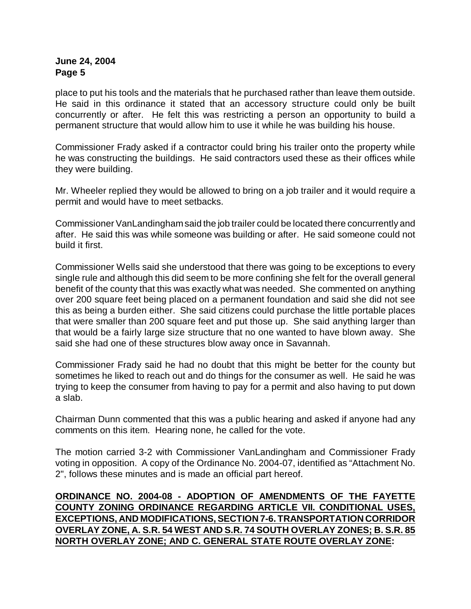place to put his tools and the materials that he purchased rather than leave them outside. He said in this ordinance it stated that an accessory structure could only be built concurrently or after. He felt this was restricting a person an opportunity to build a permanent structure that would allow him to use it while he was building his house.

Commissioner Frady asked if a contractor could bring his trailer onto the property while he was constructing the buildings. He said contractors used these as their offices while they were building.

Mr. Wheeler replied they would be allowed to bring on a job trailer and it would require a permit and would have to meet setbacks.

Commissioner VanLandingham said the job trailer could be located there concurrently and after. He said this was while someone was building or after. He said someone could not build it first.

Commissioner Wells said she understood that there was going to be exceptions to every single rule and although this did seem to be more confining she felt for the overall general benefit of the county that this was exactly what was needed. She commented on anything over 200 square feet being placed on a permanent foundation and said she did not see this as being a burden either. She said citizens could purchase the little portable places that were smaller than 200 square feet and put those up. She said anything larger than that would be a fairly large size structure that no one wanted to have blown away. She said she had one of these structures blow away once in Savannah.

Commissioner Frady said he had no doubt that this might be better for the county but sometimes he liked to reach out and do things for the consumer as well. He said he was trying to keep the consumer from having to pay for a permit and also having to put down a slab.

Chairman Dunn commented that this was a public hearing and asked if anyone had any comments on this item. Hearing none, he called for the vote.

The motion carried 3-2 with Commissioner VanLandingham and Commissioner Frady voting in opposition. A copy of the Ordinance No. 2004-07, identified as "Attachment No. 2", follows these minutes and is made an official part hereof.

**ORDINANCE NO. 2004-08 - ADOPTION OF AMENDMENTS OF THE FAYETTE COUNTY ZONING ORDINANCE REGARDING ARTICLE VII. CONDITIONAL USES, EXCEPTIONS, AND MODIFICATIONS, SECTION 7-6. TRANSPORTATION CORRIDOR OVERLAY ZONE, A. S.R. 54 WEST AND S.R. 74 SOUTH OVERLAY ZONES; B. S.R. 85 NORTH OVERLAY ZONE; AND C. GENERAL STATE ROUTE OVERLAY ZONE:**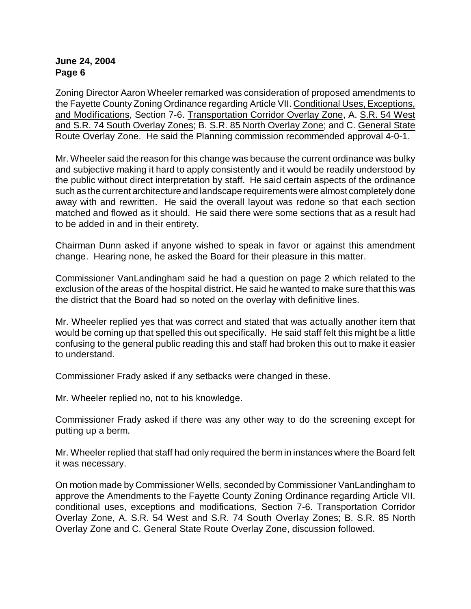Zoning Director Aaron Wheeler remarked was consideration of proposed amendments to the Fayette County Zoning Ordinance regarding Article VII. Conditional Uses, Exceptions, and Modifications, Section 7-6. Transportation Corridor Overlay Zone, A. S.R. 54 West and S.R. 74 South Overlay Zones; B. S.R. 85 North Overlay Zone; and C. General State Route Overlay Zone. He said the Planning commission recommended approval 4-0-1.

Mr. Wheeler said the reason for this change was because the current ordinance was bulky and subjective making it hard to apply consistently and it would be readily understood by the public without direct interpretation by staff. He said certain aspects of the ordinance such as the current architecture and landscape requirements were almost completely done away with and rewritten. He said the overall layout was redone so that each section matched and flowed as it should. He said there were some sections that as a result had to be added in and in their entirety.

Chairman Dunn asked if anyone wished to speak in favor or against this amendment change. Hearing none, he asked the Board for their pleasure in this matter.

Commissioner VanLandingham said he had a question on page 2 which related to the exclusion of the areas of the hospital district. He said he wanted to make sure that this was the district that the Board had so noted on the overlay with definitive lines.

Mr. Wheeler replied yes that was correct and stated that was actually another item that would be coming up that spelled this out specifically. He said staff felt this might be a little confusing to the general public reading this and staff had broken this out to make it easier to understand.

Commissioner Frady asked if any setbacks were changed in these.

Mr. Wheeler replied no, not to his knowledge.

Commissioner Frady asked if there was any other way to do the screening except for putting up a berm.

Mr. Wheeler replied that staff had only required the berm in instances where the Board felt it was necessary.

On motion made by Commissioner Wells, seconded by Commissioner VanLandingham to approve the Amendments to the Fayette County Zoning Ordinance regarding Article VII. conditional uses, exceptions and modifications, Section 7-6. Transportation Corridor Overlay Zone, A. S.R. 54 West and S.R. 74 South Overlay Zones; B. S.R. 85 North Overlay Zone and C. General State Route Overlay Zone, discussion followed.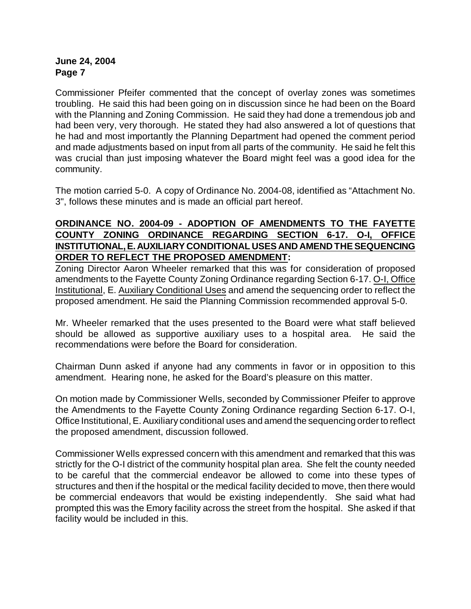Commissioner Pfeifer commented that the concept of overlay zones was sometimes troubling. He said this had been going on in discussion since he had been on the Board with the Planning and Zoning Commission. He said they had done a tremendous job and had been very, very thorough. He stated they had also answered a lot of questions that he had and most importantly the Planning Department had opened the comment period and made adjustments based on input from all parts of the community. He said he felt this was crucial than just imposing whatever the Board might feel was a good idea for the community.

The motion carried 5-0. A copy of Ordinance No. 2004-08, identified as "Attachment No. 3", follows these minutes and is made an official part hereof.

## **ORDINANCE NO. 2004-09 - ADOPTION OF AMENDMENTS TO THE FAYETTE COUNTY ZONING ORDINANCE REGARDING SECTION 6-17. O-I, OFFICE INSTITUTIONAL, E. AUXILIARY CONDITIONAL USES AND AMEND THE SEQUENCING ORDER TO REFLECT THE PROPOSED AMENDMENT:**

Zoning Director Aaron Wheeler remarked that this was for consideration of proposed amendments to the Fayette County Zoning Ordinance regarding Section 6-17. O-I, Office Institutional, E. Auxiliary Conditional Uses and amend the sequencing order to reflect the proposed amendment. He said the Planning Commission recommended approval 5-0.

Mr. Wheeler remarked that the uses presented to the Board were what staff believed should be allowed as supportive auxiliary uses to a hospital area. He said the recommendations were before the Board for consideration.

Chairman Dunn asked if anyone had any comments in favor or in opposition to this amendment. Hearing none, he asked for the Board's pleasure on this matter.

On motion made by Commissioner Wells, seconded by Commissioner Pfeifer to approve the Amendments to the Fayette County Zoning Ordinance regarding Section 6-17. O-I, Office Institutional, E. Auxiliary conditional uses and amend the sequencing order to reflect the proposed amendment, discussion followed.

Commissioner Wells expressed concern with this amendment and remarked that this was strictly for the O-I district of the community hospital plan area. She felt the county needed to be careful that the commercial endeavor be allowed to come into these types of structures and then if the hospital or the medical facility decided to move, then there would be commercial endeavors that would be existing independently. She said what had prompted this was the Emory facility across the street from the hospital. She asked if that facility would be included in this.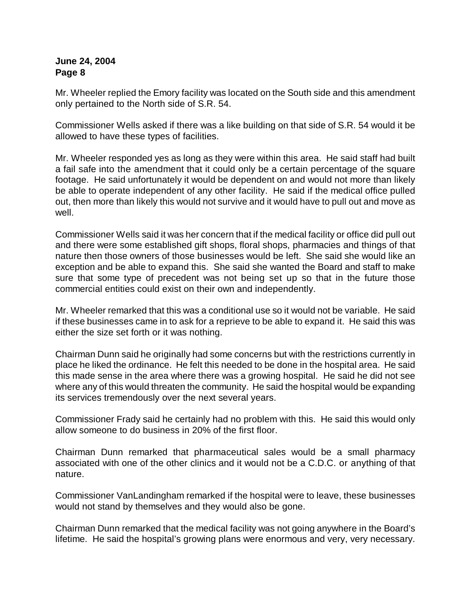Mr. Wheeler replied the Emory facility was located on the South side and this amendment only pertained to the North side of S.R. 54.

Commissioner Wells asked if there was a like building on that side of S.R. 54 would it be allowed to have these types of facilities.

Mr. Wheeler responded yes as long as they were within this area. He said staff had built a fail safe into the amendment that it could only be a certain percentage of the square footage. He said unfortunately it would be dependent on and would not more than likely be able to operate independent of any other facility. He said if the medical office pulled out, then more than likely this would not survive and it would have to pull out and move as well.

Commissioner Wells said it was her concern that if the medical facility or office did pull out and there were some established gift shops, floral shops, pharmacies and things of that nature then those owners of those businesses would be left. She said she would like an exception and be able to expand this. She said she wanted the Board and staff to make sure that some type of precedent was not being set up so that in the future those commercial entities could exist on their own and independently.

Mr. Wheeler remarked that this was a conditional use so it would not be variable. He said if these businesses came in to ask for a reprieve to be able to expand it. He said this was either the size set forth or it was nothing.

Chairman Dunn said he originally had some concerns but with the restrictions currently in place he liked the ordinance. He felt this needed to be done in the hospital area. He said this made sense in the area where there was a growing hospital. He said he did not see where any of this would threaten the community. He said the hospital would be expanding its services tremendously over the next several years.

Commissioner Frady said he certainly had no problem with this. He said this would only allow someone to do business in 20% of the first floor.

Chairman Dunn remarked that pharmaceutical sales would be a small pharmacy associated with one of the other clinics and it would not be a C.D.C. or anything of that nature.

Commissioner VanLandingham remarked if the hospital were to leave, these businesses would not stand by themselves and they would also be gone.

Chairman Dunn remarked that the medical facility was not going anywhere in the Board's lifetime. He said the hospital's growing plans were enormous and very, very necessary.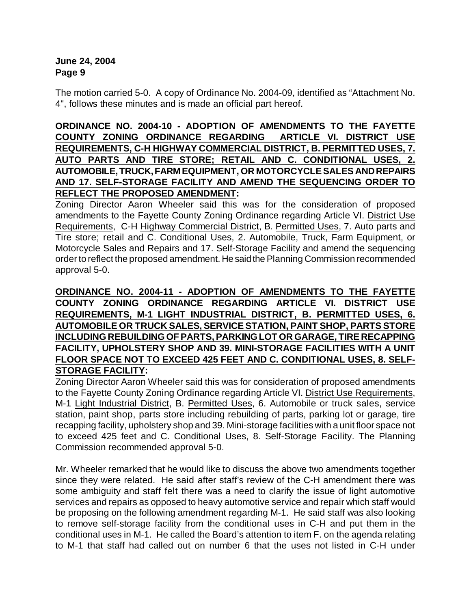The motion carried 5-0. A copy of Ordinance No. 2004-09, identified as "Attachment No. 4", follows these minutes and is made an official part hereof.

**ORDINANCE NO. 2004-10 - ADOPTION OF AMENDMENTS TO THE FAYETTE COUNTY ZONING ORDINANCE REGARDING ARTICLE VI. DISTRICT USE REQUIREMENTS, C-H HIGHWAY COMMERCIAL DISTRICT, B. PERMITTED USES, 7. AUTO PARTS AND TIRE STORE; RETAIL AND C. CONDITIONAL USES, 2. AUTOMOBILE, TRUCK, FARM EQUIPMENT, OR MOTORCYCLE SALES AND REPAIRS AND 17. SELF-STORAGE FACILITY AND AMEND THE SEQUENCING ORDER TO REFLECT THE PROPOSED AMENDMENT:** 

Zoning Director Aaron Wheeler said this was for the consideration of proposed amendments to the Fayette County Zoning Ordinance regarding Article VI. District Use Requirements, C-H Highway Commercial District, B. Permitted Uses, 7. Auto parts and Tire store; retail and C. Conditional Uses, 2. Automobile, Truck, Farm Equipment, or Motorcycle Sales and Repairs and 17. Self-Storage Facility and amend the sequencing order to reflect the proposed amendment. He said the Planning Commission recommended approval 5-0.

## **ORDINANCE NO. 2004-11 - ADOPTION OF AMENDMENTS TO THE FAYETTE COUNTY ZONING ORDINANCE REGARDING ARTICLE VI. DISTRICT USE REQUIREMENTS, M-1 LIGHT INDUSTRIAL DISTRICT, B. PERMITTED USES, 6. AUTOMOBILE OR TRUCK SALES, SERVICESTATION, PAINT SHOP, PARTS STORE INCLUDING REBUILDING OF PARTS, PARKING LOT OR GARAGE, TIRE RECAPPING FACILITY, UPHOLSTERY SHOP AND 39. MINI-STORAGE FACILITIES WITH A UNIT FLOOR SPACE NOT TO EXCEED 425 FEET AND C. CONDITIONAL USES, 8. SELF-STORAGE FACILITY:**

Zoning Director Aaron Wheeler said this was for consideration of proposed amendments to the Fayette County Zoning Ordinance regarding Article VI. District Use Requirements, M-1 Light Industrial District, B. Permitted Uses, 6. Automobile or truck sales, service station, paint shop, parts store including rebuilding of parts, parking lot or garage, tire recapping facility, upholstery shop and 39. Mini-storage facilities with a unit floor space not to exceed 425 feet and C. Conditional Uses, 8. Self-Storage Facility. The Planning Commission recommended approval 5-0.

Mr. Wheeler remarked that he would like to discuss the above two amendments together since they were related. He said after staff's review of the C-H amendment there was some ambiguity and staff felt there was a need to clarify the issue of light automotive services and repairs as opposed to heavy automotive service and repair which staff would be proposing on the following amendment regarding M-1. He said staff was also looking to remove self-storage facility from the conditional uses in C-H and put them in the conditional uses in M-1. He called the Board's attention to item F. on the agenda relating to M-1 that staff had called out on number 6 that the uses not listed in C-H under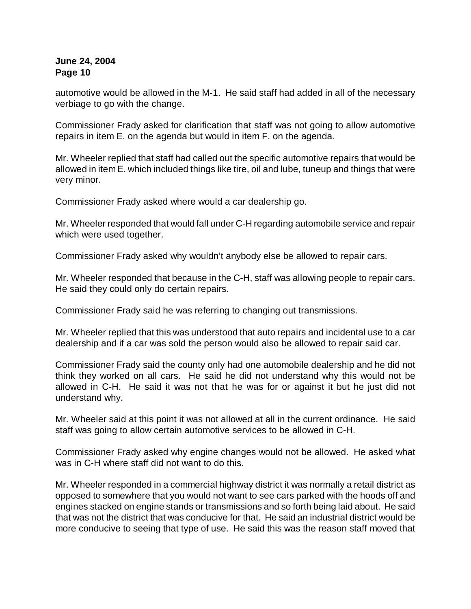automotive would be allowed in the M-1. He said staff had added in all of the necessary verbiage to go with the change.

Commissioner Frady asked for clarification that staff was not going to allow automotive repairs in item E. on the agenda but would in item F. on the agenda.

Mr. Wheeler replied that staff had called out the specific automotive repairs that would be allowed in item E. which included things like tire, oil and lube, tuneup and things that were very minor.

Commissioner Frady asked where would a car dealership go.

Mr. Wheeler responded that would fall under C-H regarding automobile service and repair which were used together.

Commissioner Frady asked why wouldn't anybody else be allowed to repair cars.

Mr. Wheeler responded that because in the C-H, staff was allowing people to repair cars. He said they could only do certain repairs.

Commissioner Frady said he was referring to changing out transmissions.

Mr. Wheeler replied that this was understood that auto repairs and incidental use to a car dealership and if a car was sold the person would also be allowed to repair said car.

Commissioner Frady said the county only had one automobile dealership and he did not think they worked on all cars. He said he did not understand why this would not be allowed in C-H. He said it was not that he was for or against it but he just did not understand why.

Mr. Wheeler said at this point it was not allowed at all in the current ordinance. He said staff was going to allow certain automotive services to be allowed in C-H.

Commissioner Frady asked why engine changes would not be allowed. He asked what was in C-H where staff did not want to do this.

Mr. Wheeler responded in a commercial highway district it was normally a retail district as opposed to somewhere that you would not want to see cars parked with the hoods off and engines stacked on engine stands or transmissions and so forth being laid about. He said that was not the district that was conducive for that. He said an industrial district would be more conducive to seeing that type of use. He said this was the reason staff moved that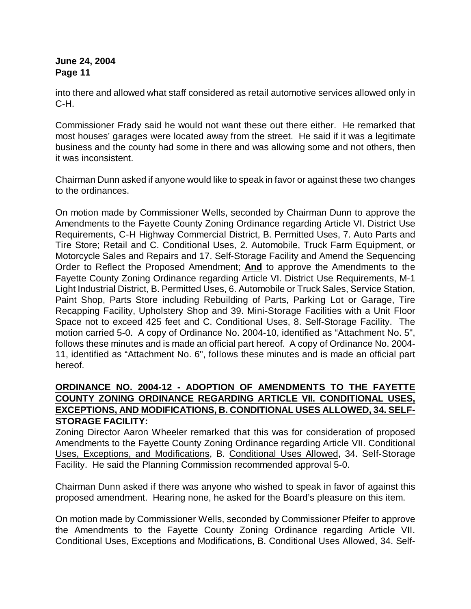into there and allowed what staff considered as retail automotive services allowed only in C-H.

Commissioner Frady said he would not want these out there either. He remarked that most houses' garages were located away from the street. He said if it was a legitimate business and the county had some in there and was allowing some and not others, then it was inconsistent.

Chairman Dunn asked if anyone would like to speak in favor or against these two changes to the ordinances.

On motion made by Commissioner Wells, seconded by Chairman Dunn to approve the Amendments to the Fayette County Zoning Ordinance regarding Article VI. District Use Requirements, C-H Highway Commercial District, B. Permitted Uses, 7. Auto Parts and Tire Store; Retail and C. Conditional Uses, 2. Automobile, Truck Farm Equipment, or Motorcycle Sales and Repairs and 17. Self-Storage Facility and Amend the Sequencing Order to Reflect the Proposed Amendment; **And** to approve the Amendments to the Fayette County Zoning Ordinance regarding Article VI. District Use Requirements, M-1 Light Industrial District, B. Permitted Uses, 6. Automobile or Truck Sales, Service Station, Paint Shop, Parts Store including Rebuilding of Parts, Parking Lot or Garage, Tire Recapping Facility, Upholstery Shop and 39. Mini-Storage Facilities with a Unit Floor Space not to exceed 425 feet and C. Conditional Uses, 8. Self-Storage Facility. The motion carried 5-0. A copy of Ordinance No. 2004-10, identified as "Attachment No. 5", follows these minutes and is made an official part hereof. A copy of Ordinance No. 2004- 11, identified as "Attachment No. 6", follows these minutes and is made an official part hereof.

## **ORDINANCE NO. 2004-12 - ADOPTION OF AMENDMENTS TO THE FAYETTE COUNTY ZONING ORDINANCE REGARDING ARTICLE VII. CONDITIONAL USES, EXCEPTIONS, AND MODIFICATIONS, B. CONDITIONAL USES ALLOWED, 34. SELF-STORAGE FACILITY:**

Zoning Director Aaron Wheeler remarked that this was for consideration of proposed Amendments to the Fayette County Zoning Ordinance regarding Article VII. Conditional Uses, Exceptions, and Modifications, B. Conditional Uses Allowed, 34. Self-Storage Facility. He said the Planning Commission recommended approval 5-0.

Chairman Dunn asked if there was anyone who wished to speak in favor of against this proposed amendment. Hearing none, he asked for the Board's pleasure on this item.

On motion made by Commissioner Wells, seconded by Commissioner Pfeifer to approve the Amendments to the Fayette County Zoning Ordinance regarding Article VII. Conditional Uses, Exceptions and Modifications, B. Conditional Uses Allowed, 34. Self-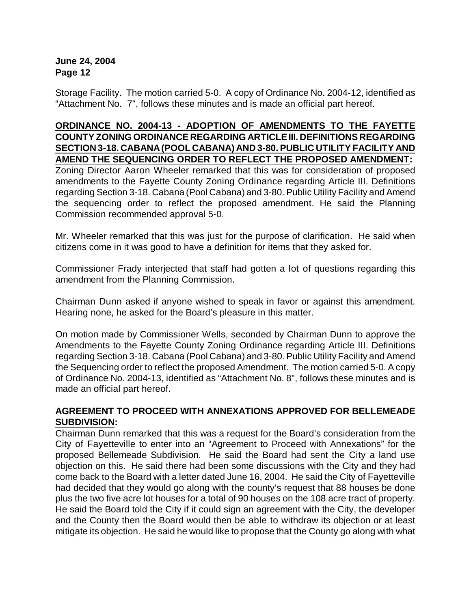Storage Facility. The motion carried 5-0. A copy of Ordinance No. 2004-12, identified as "Attachment No. 7", follows these minutes and is made an official part hereof.

### **ORDINANCE NO. 2004-13 - ADOPTION OF AMENDMENTS TO THE FAYETTE COUNTY ZONING ORDINANCE REGARDING ARTICLE III. DEFINITIONS REGARDING SECTION 3-18. CABANA(POOL CABANA) AND 3-80. PUBLIC UTILITY FACILITY AND AMEND THE SEQUENCING ORDER TO REFLECT THE PROPOSED AMENDMENT:**

Zoning Director Aaron Wheeler remarked that this was for consideration of proposed amendments to the Fayette County Zoning Ordinance regarding Article III. Definitions regarding Section 3-18. Cabana (Pool Cabana) and 3-80. Public Utility Facility and Amend the sequencing order to reflect the proposed amendment. He said the Planning Commission recommended approval 5-0.

Mr. Wheeler remarked that this was just for the purpose of clarification. He said when citizens come in it was good to have a definition for items that they asked for.

Commissioner Frady interjected that staff had gotten a lot of questions regarding this amendment from the Planning Commission.

Chairman Dunn asked if anyone wished to speak in favor or against this amendment. Hearing none, he asked for the Board's pleasure in this matter.

On motion made by Commissioner Wells, seconded by Chairman Dunn to approve the Amendments to the Fayette County Zoning Ordinance regarding Article III. Definitions regarding Section 3-18. Cabana (Pool Cabana) and 3-80. Public Utility Facility and Amend the Sequencing order to reflect the proposed Amendment. The motion carried 5-0. A copy of Ordinance No. 2004-13, identified as "Attachment No. 8", follows these minutes and is made an official part hereof.

### **AGREEMENT TO PROCEED WITH ANNEXATIONS APPROVED FOR BELLEMEADE SUBDIVISION:**

Chairman Dunn remarked that this was a request for the Board's consideration from the City of Fayetteville to enter into an "Agreement to Proceed with Annexations" for the proposed Bellemeade Subdivision. He said the Board had sent the City a land use objection on this. He said there had been some discussions with the City and they had come back to the Board with a letter dated June 16, 2004. He said the City of Fayetteville had decided that they would go along with the county's request that 88 houses be done plus the two five acre lot houses for a total of 90 houses on the 108 acre tract of property. He said the Board told the City if it could sign an agreement with the City, the developer and the County then the Board would then be able to withdraw its objection or at least mitigate its objection. He said he would like to propose that the County go along with what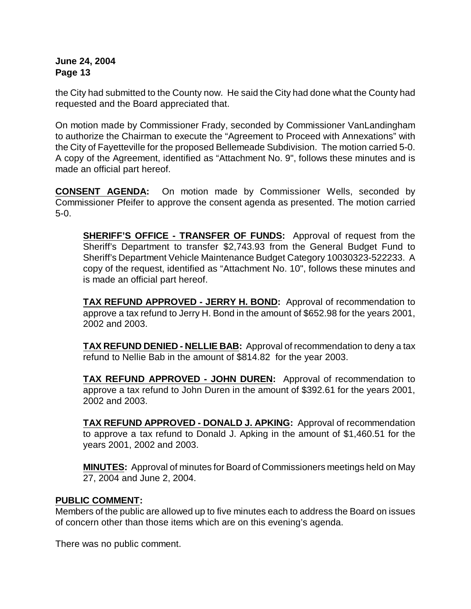the City had submitted to the County now. He said the City had done what the County had requested and the Board appreciated that.

On motion made by Commissioner Frady, seconded by Commissioner VanLandingham to authorize the Chairman to execute the "Agreement to Proceed with Annexations" with the City of Fayetteville for the proposed Bellemeade Subdivision. The motion carried 5-0. A copy of the Agreement, identified as "Attachment No. 9", follows these minutes and is made an official part hereof.

**CONSENT AGENDA:** On motion made by Commissioner Wells, seconded by Commissioner Pfeifer to approve the consent agenda as presented. The motion carried 5-0.

**SHERIFF'S OFFICE - TRANSFER OF FUNDS:** Approval of request from the Sheriff's Department to transfer \$2,743.93 from the General Budget Fund to Sheriff's Department Vehicle Maintenance Budget Category 10030323-522233.A copy of the request, identified as "Attachment No. 10", follows these minutes and is made an official part hereof.

**TAX REFUND APPROVED - JERRY H. BOND:** Approval of recommendation to approve a tax refund to Jerry H. Bond in the amount of \$652.98 for the years 2001, 2002 and 2003.

**TAX REFUND DENIED - NELLIE BAB:** Approval of recommendation to deny a tax refund to Nellie Bab in the amount of \$814.82 for the year 2003.

**TAX REFUND APPROVED - JOHN DUREN:** Approval of recommendation to approve a tax refund to John Duren in the amount of \$392.61 for the years 2001, 2002 and 2003.

**TAX REFUND APPROVED - DONALD J. APKING:** Approval of recommendation to approve a tax refund to Donald J. Apking in the amount of \$1,460.51 for the years 2001, 2002 and 2003.

**MINUTES:** Approval of minutes for Board of Commissioners meetings held on May 27, 2004 and June 2, 2004.

## **PUBLIC COMMENT:**

Members of the public are allowed up to five minutes each to address the Board on issues of concern other than those items which are on this evening's agenda.

There was no public comment.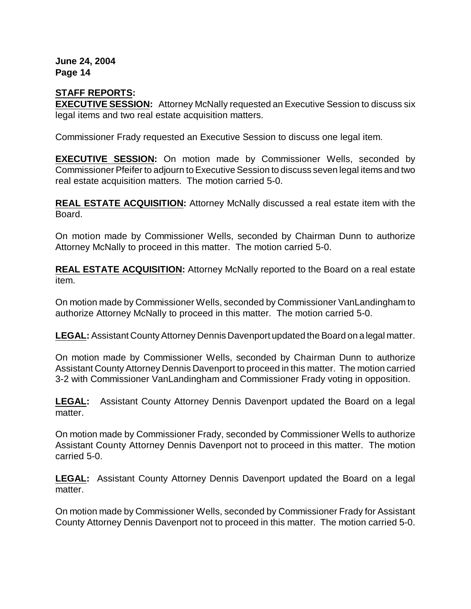# **STAFF REPORTS:**

**EXECUTIVE SESSION:** Attorney McNally requested an Executive Session to discuss six legal items and two real estate acquisition matters.

Commissioner Frady requested an Executive Session to discuss one legal item.

**EXECUTIVE SESSION:** On motion made by Commissioner Wells, seconded by Commissioner Pfeifer to adjourn to Executive Session to discuss seven legal items and two real estate acquisition matters. The motion carried 5-0.

**REAL ESTATE ACQUISITION:** Attorney McNally discussed a real estate item with the Board.

On motion made by Commissioner Wells, seconded by Chairman Dunn to authorize Attorney McNally to proceed in this matter. The motion carried 5-0.

**REAL ESTATE ACQUISITION:** Attorney McNally reported to the Board on a real estate item.

On motion made by Commissioner Wells, seconded by Commissioner VanLandingham to authorize Attorney McNally to proceed in this matter. The motion carried 5-0.

**LEGAL:** Assistant County Attorney Dennis Davenport updated the Board on a legal matter.

On motion made by Commissioner Wells, seconded by Chairman Dunn to authorize Assistant County Attorney Dennis Davenport to proceed in this matter. The motion carried 3-2 with Commissioner VanLandingham and Commissioner Frady voting in opposition.

**LEGAL:** Assistant County Attorney Dennis Davenport updated the Board on a legal matter.

On motion made by Commissioner Frady, seconded by Commissioner Wells to authorize Assistant County Attorney Dennis Davenport not to proceed in this matter. The motion carried 5-0.

**LEGAL:** Assistant County Attorney Dennis Davenport updated the Board on a legal matter.

On motion made by Commissioner Wells, seconded by Commissioner Frady for Assistant County Attorney Dennis Davenport not to proceed in this matter. The motion carried 5-0.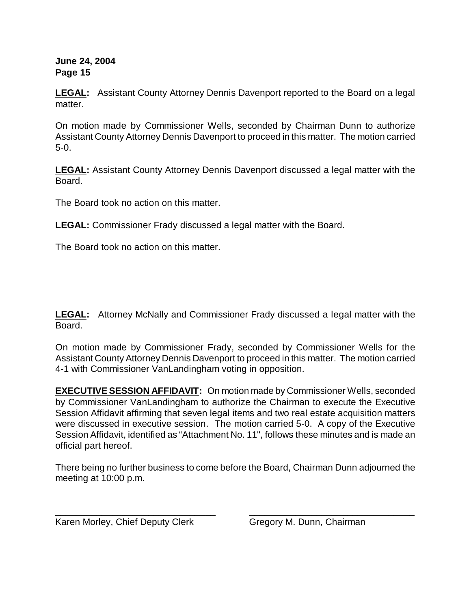**LEGAL:** Assistant County Attorney Dennis Davenport reported to the Board on a legal matter.

On motion made by Commissioner Wells, seconded by Chairman Dunn to authorize Assistant County Attorney Dennis Davenport to proceed in this matter. The motion carried 5-0.

**LEGAL:** Assistant County Attorney Dennis Davenport discussed a legal matter with the Board.

The Board took no action on this matter.

**LEGAL:** Commissioner Frady discussed a legal matter with the Board.

The Board took no action on this matter.

**LEGAL:** Attorney McNally and Commissioner Frady discussed a legal matter with the Board.

On motion made by Commissioner Frady, seconded by Commissioner Wells for the Assistant County Attorney Dennis Davenport to proceed in this matter. The motion carried 4-1 with Commissioner VanLandingham voting in opposition.

**EXECUTIVE SESSION AFFIDAVIT:** On motion made by Commissioner Wells, seconded by Commissioner VanLandingham to authorize the Chairman to execute the Executive Session Affidavit affirming that seven legal items and two real estate acquisition matters were discussed in executive session. The motion carried 5-0. A copy of the Executive Session Affidavit, identified as "Attachment No. 11", follows these minutes and is made an official part hereof.

There being no further business to come before the Board, Chairman Dunn adjourned the meeting at 10:00 p.m.

\_\_\_\_\_\_\_\_\_\_\_\_\_\_\_\_\_\_\_\_\_\_\_\_\_\_\_\_\_\_\_ \_\_\_\_\_\_\_\_\_\_\_\_\_\_\_\_\_\_\_\_\_\_\_\_\_\_\_\_\_\_\_\_

Karen Morley, Chief Deputy Clerk Gregory M. Dunn, Chairman